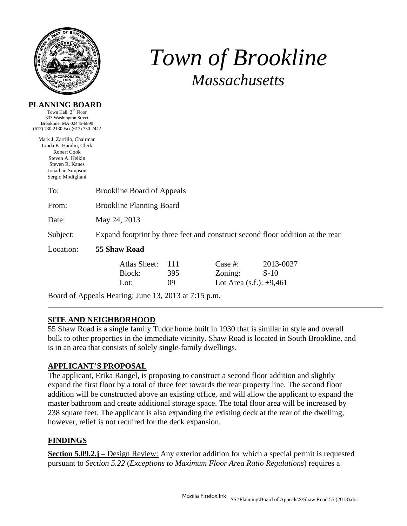

**PLANNING BOARD**  Town Hall, 3rd Floor

# *Town of Brookline Massachusetts*

| 333 Washington Street<br>Brookline, MA 02445-6899<br>(617) 730-2130 Fax (617) 730-2442                                                              |                                                                                |                  |                                                       |                     |  |  |  |
|-----------------------------------------------------------------------------------------------------------------------------------------------------|--------------------------------------------------------------------------------|------------------|-------------------------------------------------------|---------------------|--|--|--|
| Mark J. Zarrillo, Chairman<br>Linda K. Hamlin, Clerk<br>Robert Cook<br>Steven A. Heikin<br>Steven R. Kanes<br>Jonathan Simpson<br>Sergio Modigliani |                                                                                |                  |                                                       |                     |  |  |  |
| To:                                                                                                                                                 | <b>Brookline Board of Appeals</b>                                              |                  |                                                       |                     |  |  |  |
| From:                                                                                                                                               | <b>Brookline Planning Board</b>                                                |                  |                                                       |                     |  |  |  |
| Date:                                                                                                                                               | May 24, 2013                                                                   |                  |                                                       |                     |  |  |  |
| Subject:                                                                                                                                            | Expand footprint by three feet and construct second floor addition at the rear |                  |                                                       |                     |  |  |  |
| Location:                                                                                                                                           | 55 Shaw Road                                                                   |                  |                                                       |                     |  |  |  |
|                                                                                                                                                     | Atlas Sheet:<br>Block:<br>Lot:                                                 | 111<br>395<br>09 | Case $#$ :<br>Zoning:<br>Lot Area (s.f.): $\pm 9,461$ | 2013-0037<br>$S-10$ |  |  |  |

Board of Appeals Hearing: June 13, 2013 at 7:15 p.m.

## **SITE AND NEIGHBORHOOD**

55 Shaw Road is a single family Tudor home built in 1930 that is similar in style and overall bulk to other properties in the immediate vicinity. Shaw Road is located in South Brookline, and is in an area that consists of solely single-family dwellings.

#### **APPLICANT'S PROPOSAL**

The applicant, Erika Rangel, is proposing to construct a second floor addition and slightly expand the first floor by a total of three feet towards the rear property line. The second floor addition will be constructed above an existing office, and will allow the applicant to expand the master bathroom and create additional storage space. The total floor area will be increased by 238 square feet. The applicant is also expanding the existing deck at the rear of the dwelling, however, relief is not required for the deck expansion.

#### **FINDINGS**

**Section 5.09.2.j** – Design Review: Any exterior addition for which a special permit is requested pursuant to *Section 5.22* (*Exceptions to Maximum Floor Area Ratio Regulations*) requires a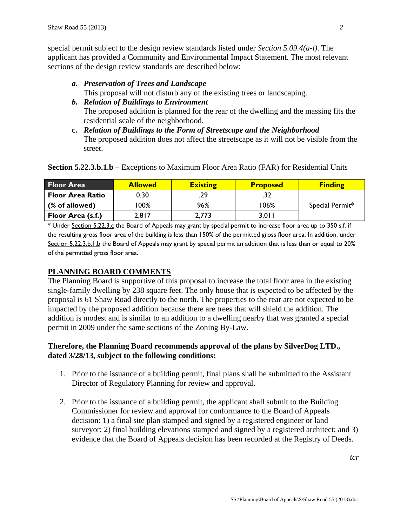special permit subject to the design review standards listed under *Section 5.09.4(a-l)*. The applicant has provided a Community and Environmental Impact Statement. The most relevant sections of the design review standards are described below:

*a. Preservation of Trees and Landscape* 

This proposal will not disturb any of the existing trees or landscaping.

- *b. Relation of Buildings to Environment*  The proposed addition is planned for the rear of the dwelling and the massing fits the residential scale of the neighborhood.
- **c.** *Relation of Buildings to the Form of Streetscape and the Neighborhood* The proposed addition does not affect the streetscape as it will not be visible from the street.

#### **Section 5.22.3.b.1.b** – Exceptions to Maximum Floor Area Ratio (FAR) for Residential Units

| <b>Floor Area</b>       | <b>Allowed</b> | <b>Existing</b> | <b>Proposed</b> | <b>Finding</b>  |
|-------------------------|----------------|-----------------|-----------------|-----------------|
| <b>Floor Area Ratio</b> | 0.30           | .29             | .32             |                 |
| (% of allowed)          | $100\%$        | 96%             | 106%            | Special Permit* |
| Floor Area (s.f.)       | 2,817          | 2,773           | 3.0 I I         |                 |

\* Under Section 5.22.3.c the Board of Appeals may grant by special permit to increase floor area up to 350 s.f. if the resulting gross floor area of the building is less than 150% of the permitted gross floor area. In addition, under Section 5.22.3.b.1.b the Board of Appeals may grant by special permit an addition that is less than or equal to 20% of the permitted gross floor area.

#### **PLANNING BOARD COMMENTS**

The Planning Board is supportive of this proposal to increase the total floor area in the existing single-family dwelling by 238 square feet. The only house that is expected to be affected by the proposal is 61 Shaw Road directly to the north. The properties to the rear are not expected to be impacted by the proposed addition because there are trees that will shield the addition. The addition is modest and is similar to an addition to a dwelling nearby that was granted a special permit in 2009 under the same sections of the Zoning By-Law.

### **Therefore, the Planning Board recommends approval of the plans by SilverDog LTD., dated 3/28/13, subject to the following conditions:**

- 1. Prior to the issuance of a building permit, final plans shall be submitted to the Assistant Director of Regulatory Planning for review and approval.
- 2. Prior to the issuance of a building permit, the applicant shall submit to the Building Commissioner for review and approval for conformance to the Board of Appeals decision: 1) a final site plan stamped and signed by a registered engineer or land surveyor; 2) final building elevations stamped and signed by a registered architect; and 3) evidence that the Board of Appeals decision has been recorded at the Registry of Deeds.